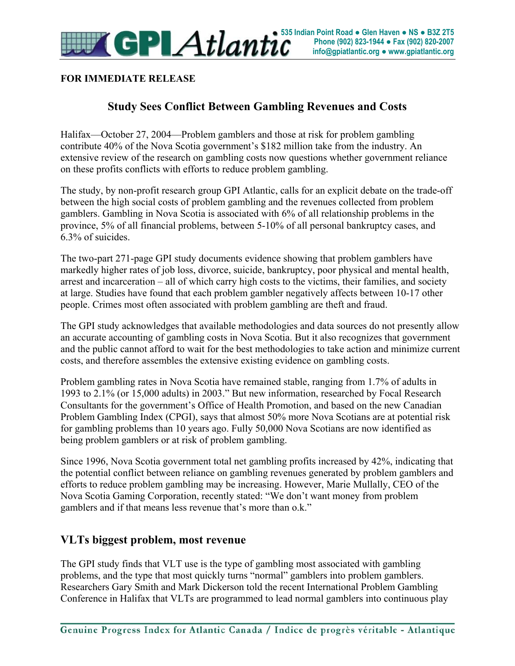

#### **FOR IMMEDIATE RELEASE**

### **Study Sees Conflict Between Gambling Revenues and Costs**

Halifax—October 27, 2004—Problem gamblers and those at risk for problem gambling contribute 40% of the Nova Scotia government's \$182 million take from the industry. An extensive review of the research on gambling costs now questions whether government reliance on these profits conflicts with efforts to reduce problem gambling.

The study, by non-profit research group GPI Atlantic, calls for an explicit debate on the trade-off between the high social costs of problem gambling and the revenues collected from problem gamblers. Gambling in Nova Scotia is associated with 6% of all relationship problems in the province, 5% of all financial problems, between 5-10% of all personal bankruptcy cases, and 6.3% of suicides.

The two-part 271-page GPI study documents evidence showing that problem gamblers have markedly higher rates of job loss, divorce, suicide, bankruptcy, poor physical and mental health, arrest and incarceration – all of which carry high costs to the victims, their families, and society at large. Studies have found that each problem gambler negatively affects between 10-17 other people. Crimes most often associated with problem gambling are theft and fraud.

The GPI study acknowledges that available methodologies and data sources do not presently allow an accurate accounting of gambling costs in Nova Scotia. But it also recognizes that government and the public cannot afford to wait for the best methodologies to take action and minimize current costs, and therefore assembles the extensive existing evidence on gambling costs.

Problem gambling rates in Nova Scotia have remained stable, ranging from 1.7% of adults in 1993 to 2.1% (or 15,000 adults) in 2003." But new information, researched by Focal Research Consultants for the government's Office of Health Promotion, and based on the new Canadian Problem Gambling Index (CPGI), says that almost 50% more Nova Scotians are at potential risk for gambling problems than 10 years ago. Fully 50,000 Nova Scotians are now identified as being problem gamblers or at risk of problem gambling.

Since 1996, Nova Scotia government total net gambling profits increased by 42%, indicating that the potential conflict between reliance on gambling revenues generated by problem gamblers and efforts to reduce problem gambling may be increasing. However, Marie Mullally, CEO of the Nova Scotia Gaming Corporation, recently stated: "We don't want money from problem gamblers and if that means less revenue that's more than o.k."

#### **VLTs biggest problem, most revenue**

The GPI study finds that VLT use is the type of gambling most associated with gambling problems, and the type that most quickly turns "normal" gamblers into problem gamblers. Researchers Gary Smith and Mark Dickerson told the recent International Problem Gambling Conference in Halifax that VLTs are programmed to lead normal gamblers into continuous play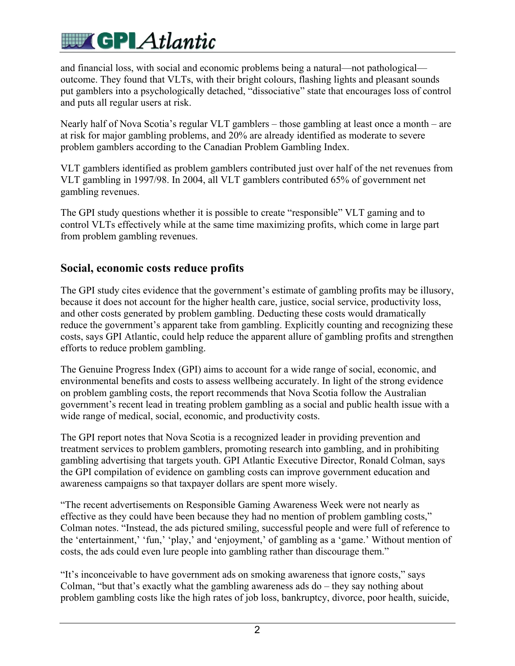# **WE GPI Atlantic**

and financial loss, with social and economic problems being a natural—not pathological outcome. They found that VLTs, with their bright colours, flashing lights and pleasant sounds put gamblers into a psychologically detached, "dissociative" state that encourages loss of control and puts all regular users at risk.

Nearly half of Nova Scotia's regular VLT gamblers – those gambling at least once a month – are at risk for major gambling problems, and 20% are already identified as moderate to severe problem gamblers according to the Canadian Problem Gambling Index.

VLT gamblers identified as problem gamblers contributed just over half of the net revenues from VLT gambling in 1997/98. In 2004, all VLT gamblers contributed 65% of government net gambling revenues.

The GPI study questions whether it is possible to create "responsible" VLT gaming and to control VLTs effectively while at the same time maximizing profits, which come in large part from problem gambling revenues.

#### **Social, economic costs reduce profits**

The GPI study cites evidence that the government's estimate of gambling profits may be illusory, because it does not account for the higher health care, justice, social service, productivity loss, and other costs generated by problem gambling. Deducting these costs would dramatically reduce the government's apparent take from gambling. Explicitly counting and recognizing these costs, says GPI Atlantic, could help reduce the apparent allure of gambling profits and strengthen efforts to reduce problem gambling.

The Genuine Progress Index (GPI) aims to account for a wide range of social, economic, and environmental benefits and costs to assess wellbeing accurately. In light of the strong evidence on problem gambling costs, the report recommends that Nova Scotia follow the Australian government's recent lead in treating problem gambling as a social and public health issue with a wide range of medical, social, economic, and productivity costs.

The GPI report notes that Nova Scotia is a recognized leader in providing prevention and treatment services to problem gamblers, promoting research into gambling, and in prohibiting gambling advertising that targets youth. GPI Atlantic Executive Director, Ronald Colman, says the GPI compilation of evidence on gambling costs can improve government education and awareness campaigns so that taxpayer dollars are spent more wisely.

"The recent advertisements on Responsible Gaming Awareness Week were not nearly as effective as they could have been because they had no mention of problem gambling costs," Colman notes. "Instead, the ads pictured smiling, successful people and were full of reference to the 'entertainment,' 'fun,' 'play,' and 'enjoyment,' of gambling as a 'game.' Without mention of costs, the ads could even lure people into gambling rather than discourage them."

"It's inconceivable to have government ads on smoking awareness that ignore costs," says Colman, "but that's exactly what the gambling awareness ads do – they say nothing about problem gambling costs like the high rates of job loss, bankruptcy, divorce, poor health, suicide,